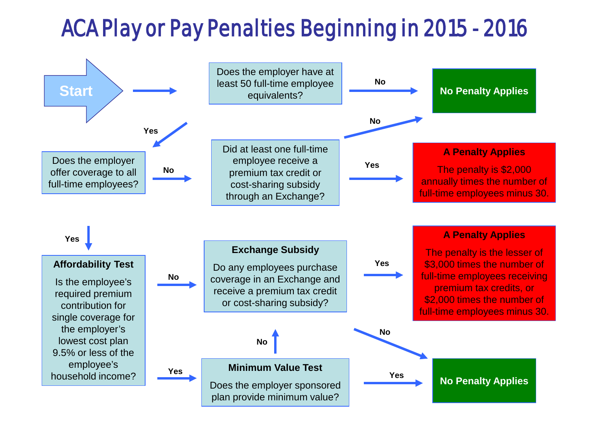# ACA Play or Pay Penalties Beginning in 2015 - 2016

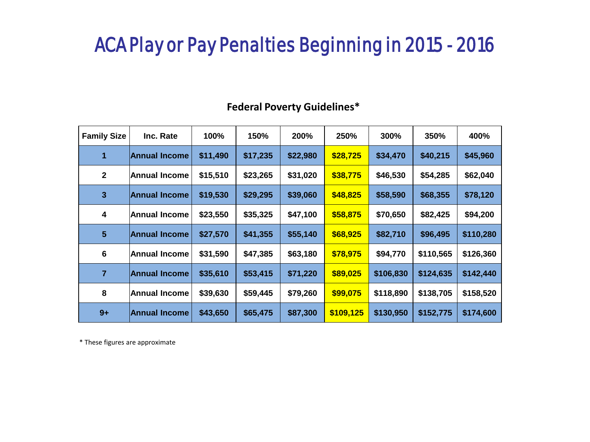### ACA Play or Pay Penalties Beginning in 2015 - 2016

| <b>Family Size</b> | Inc. Rate            | 100%     | 150%     | 200%     | 250%      | 300%      | 350%      | 400%      |
|--------------------|----------------------|----------|----------|----------|-----------|-----------|-----------|-----------|
| 1                  | <b>Annual Income</b> | \$11,490 | \$17,235 | \$22,980 | \$28,725  | \$34,470  | \$40,215  | \$45,960  |
| $\mathbf{2}$       | <b>Annual Income</b> | \$15,510 | \$23,265 | \$31,020 | \$38,775  | \$46,530  | \$54,285  | \$62,040  |
| 3                  | <b>Annual Income</b> | \$19,530 | \$29,295 | \$39,060 | \$48,825  | \$58,590  | \$68,355  | \$78,120  |
| 4                  | Annual Income        | \$23,550 | \$35,325 | \$47,100 | \$58,875  | \$70,650  | \$82,425  | \$94,200  |
| $5\phantom{1}$     | <b>Annual Income</b> | \$27,570 | \$41,355 | \$55,140 | \$68,925  | \$82,710  | \$96,495  | \$110,280 |
| $6\phantom{1}6$    | <b>Annual Income</b> | \$31,590 | \$47,385 | \$63,180 | \$78,975  | \$94,770  | \$110,565 | \$126,360 |
| 7                  | <b>Annual Income</b> | \$35,610 | \$53,415 | \$71,220 | \$89,025  | \$106,830 | \$124,635 | \$142,440 |
| 8                  | Annual Income        | \$39,630 | \$59,445 | \$79,260 | \$99,075  | \$118,890 | \$138,705 | \$158,520 |
| $9+$               | <b>Annual Income</b> | \$43,650 | \$65,475 | \$87,300 | \$109,125 | \$130,950 | \$152,775 | \$174,600 |

#### **Federal Poverty Guidelines\***

\* These figures are approximate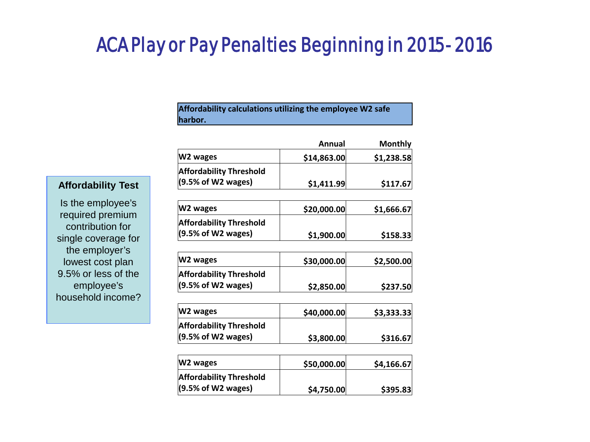### ACA Play or Pay Penalties Beginning in 2015- 2016

**Affordability calculations utilizing the employee W2 safe harbor.**

|                                | Annual      | <b>Monthly</b> |
|--------------------------------|-------------|----------------|
| W2 wages                       | \$14,863.00 | \$1,238.58     |
| <b>Affordability Threshold</b> |             |                |
| (9.5% of W2 wages)             | \$1,411.99  | \$117.67       |

#### **Affordability Test**

Is the employee's required premium contribution for single coverage for the employer's lowest cost plan 9.5% or less of the employee's household income?

| W2 wages                       | \$20,000.00] | \$1,666.67 |
|--------------------------------|--------------|------------|
| <b>Affordability Threshold</b> |              |            |
| (9.5% of W2 wages)             | \$1,900.00   | \$158.33   |

| W2 wages                       | \$30,000.00 | \$2,500.00 |
|--------------------------------|-------------|------------|
| <b>Affordability Threshold</b> |             |            |
| (9.5% of W2 wages)             | \$2,850.00  | \$237.50   |

| W2 wages                       | \$40,000.00 | \$3,333.33 |
|--------------------------------|-------------|------------|
| <b>Affordability Threshold</b> |             |            |
| (9.5% of W2 wages)             | \$3,800.00  | \$316.67   |

| W2 wages                       | \$50,000.00 | \$4,166.67 |
|--------------------------------|-------------|------------|
| <b>Affordability Threshold</b> |             |            |
| $(9.5%$ of W2 wages)           | \$4,750.00  | \$395.83   |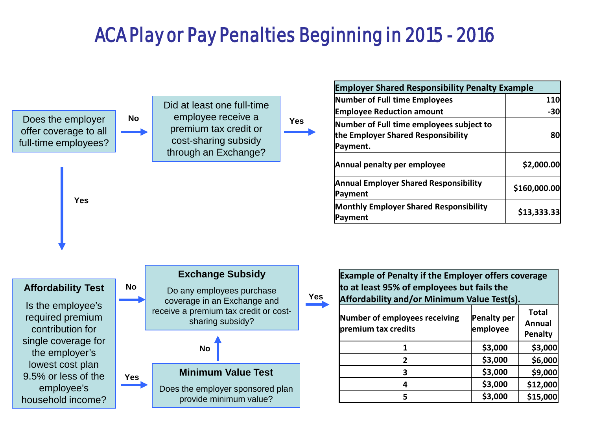## ACA Play or Pay Penalties Beginning in 2015 - 2016